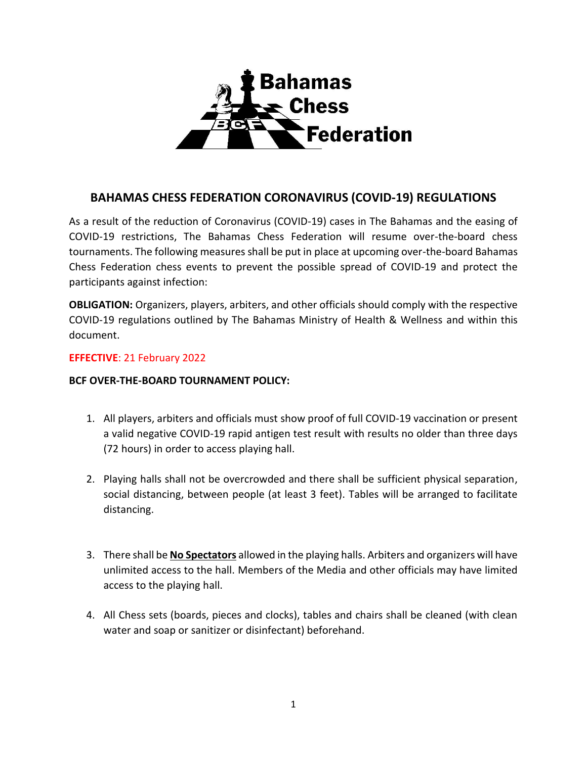

## **BAHAMAS CHESS FEDERATION CORONAVIRUS (COVID-19) REGULATIONS**

As a result of the reduction of Coronavirus (COVID-19) cases in The Bahamas and the easing of COVID-19 restrictions, The Bahamas Chess Federation will resume over-the-board chess tournaments. The following measures shall be put in place at upcoming over-the-board Bahamas Chess Federation chess events to prevent the possible spread of COVID-19 and protect the participants against infection:

**OBLIGATION:** Organizers, players, arbiters, and other officials should comply with the respective COVID-19 regulations outlined by The Bahamas Ministry of Health & Wellness and within this document.

## **EFFECTIVE**: 21 February 2022

## **BCF OVER-THE-BOARD TOURNAMENT POLICY:**

- 1. All players, arbiters and officials must show proof of full COVID-19 vaccination or present a valid negative COVID-19 rapid antigen test result with results no older than three days (72 hours) in order to access playing hall.
- 2. Playing halls shall not be overcrowded and there shall be sufficient physical separation, social distancing, between people (at least 3 feet). Tables will be arranged to facilitate distancing.
- 3. There shall be **No Spectators** allowed in the playing halls. Arbiters and organizers will have unlimited access to the hall. Members of the Media and other officials may have limited access to the playing hall.
- 4. All Chess sets (boards, pieces and clocks), tables and chairs shall be cleaned (with clean water and soap or sanitizer or disinfectant) beforehand.